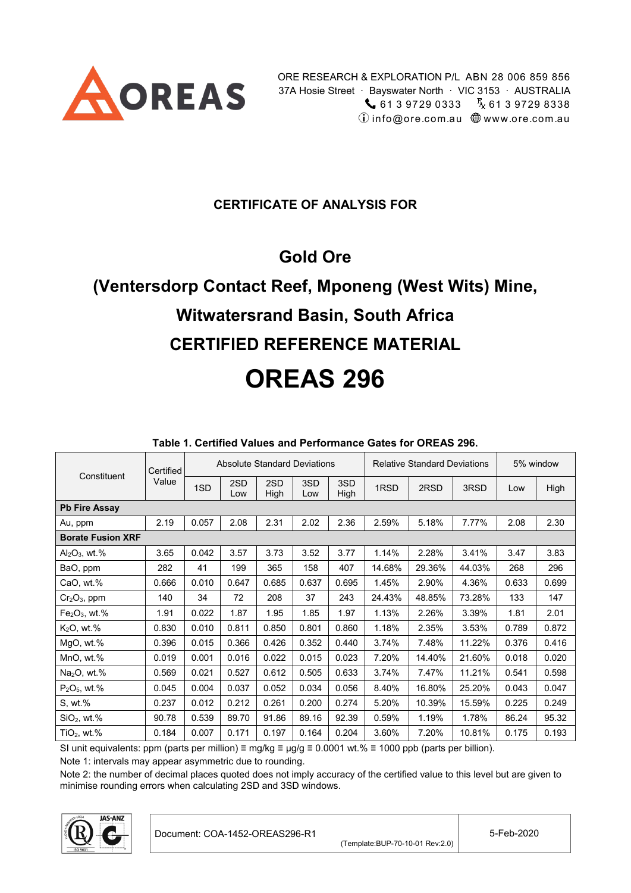

### **CERTIFICATE OF ANALYSIS FOR**

# **Gold Ore**

# **(Ventersdorp Contact Reef, Mponeng (West Wits) Mine, Witwatersrand Basin, South Africa CERTIFIED REFERENCE MATERIAL OREAS 296**

<span id="page-0-1"></span>

| Constituent              | Certified |       | <b>Absolute Standard Deviations</b> |             |            |             |        | <b>Relative Standard Deviations</b> |        |       | 5% window |
|--------------------------|-----------|-------|-------------------------------------|-------------|------------|-------------|--------|-------------------------------------|--------|-------|-----------|
|                          | Value     | 1SD   | 2SD<br>Low                          | 2SD<br>High | 3SD<br>Low | 3SD<br>High | 1RSD   | 2RSD                                | 3RSD   | Low   | High      |
| <b>Pb Fire Assay</b>     |           |       |                                     |             |            |             |        |                                     |        |       |           |
| Au, ppm                  | 2.19      | 0.057 | 2.08                                | 2.31        | 2.02       | 2.36        | 2.59%  | 5.18%                               | 7.77%  | 2.08  | 2.30      |
| <b>Borate Fusion XRF</b> |           |       |                                     |             |            |             |        |                                     |        |       |           |
| $Al_2O_3$ , wt.%         | 3.65      | 0.042 | 3.57                                | 3.73        | 3.52       | 3.77        | 1.14%  | 2.28%                               | 3.41%  | 3.47  | 3.83      |
| BaO, ppm                 | 282       | 41    | 199                                 | 365         | 158        | 407         | 14.68% | 29.36%                              | 44.03% | 268   | 296       |
| CaO, wt.%                | 0.666     | 0.010 | 0.647                               | 0.685       | 0.637      | 0.695       | 1.45%  | 2.90%                               | 4.36%  | 0.633 | 0.699     |
| $Cr2O3$ , ppm            | 140       | 34    | 72                                  | 208         | 37         | 243         | 24.43% | 48.85%                              | 73.28% | 133   | 147       |
| $Fe2O3$ , wt.%           | 1.91      | 0.022 | 1.87                                | 1.95        | 1.85       | 1.97        | 1.13%  | 2.26%                               | 3.39%  | 1.81  | 2.01      |
| $K2O$ , wt.%             | 0.830     | 0.010 | 0.811                               | 0.850       | 0.801      | 0.860       | 1.18%  | 2.35%                               | 3.53%  | 0.789 | 0.872     |
| MgO, wt.%                | 0.396     | 0.015 | 0.366                               | 0.426       | 0.352      | 0.440       | 3.74%  | 7.48%                               | 11.22% | 0.376 | 0.416     |
| MnO, wt.%                | 0.019     | 0.001 | 0.016                               | 0.022       | 0.015      | 0.023       | 7.20%  | 14.40%                              | 21.60% | 0.018 | 0.020     |
| $Na2O$ , wt.%            | 0.569     | 0.021 | 0.527                               | 0.612       | 0.505      | 0.633       | 3.74%  | 7.47%                               | 11.21% | 0.541 | 0.598     |
| $P_2O_5$ , wt.%          | 0.045     | 0.004 | 0.037                               | 0.052       | 0.034      | 0.056       | 8.40%  | 16.80%                              | 25.20% | 0.043 | 0.047     |
| S, wt.%                  | 0.237     | 0.012 | 0.212                               | 0.261       | 0.200      | 0.274       | 5.20%  | 10.39%                              | 15.59% | 0.225 | 0.249     |
| $SiO2$ , wt.%            | 90.78     | 0.539 | 89.70                               | 91.86       | 89.16      | 92.39       | 0.59%  | 1.19%                               | 1.78%  | 86.24 | 95.32     |
| $TiO2$ , wt.%            | 0.184     | 0.007 | 0.171                               | 0.197       | 0.164      | 0.204       | 3.60%  | 7.20%                               | 10.81% | 0.175 | 0.193     |

#### <span id="page-0-2"></span>**Table 1. Certified Values and Performance Gates for OREAS 296.**

SI unit equivalents: ppm (parts per million) ≡ mg/kg ≡  $\mu$ g/g ≡ 0.0001 wt.% ≡ 1000 ppb (parts per billion).

Note 1: intervals may appear asymmetric due to rounding.

Note 2: the number of decimal places quoted does not imply accuracy of the certified value to this level but are given to minimise rounding errors when calculating 2SD and 3SD windows.

<span id="page-0-0"></span>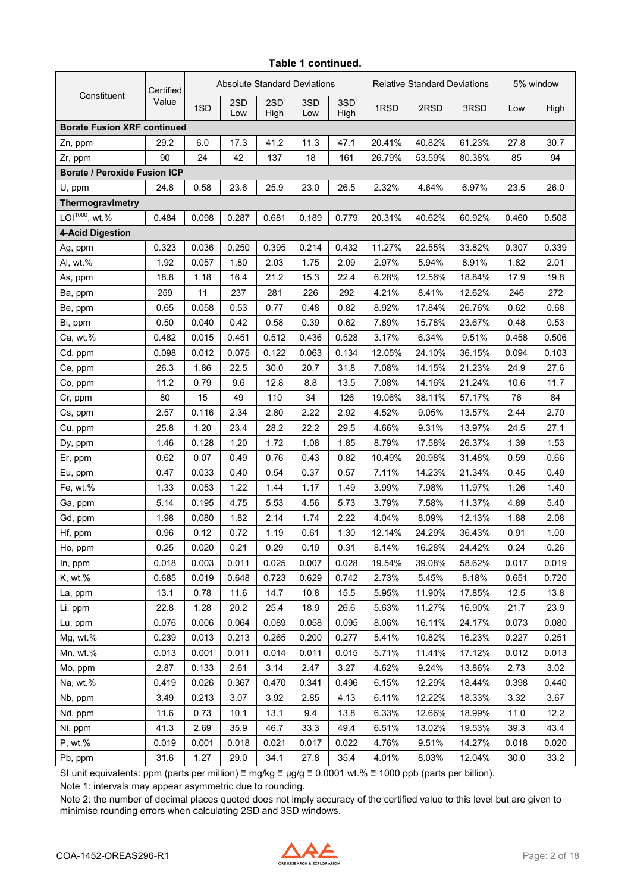#### **Table 1 continued.**

|                                     | Certified | <b>Absolute Standard Deviations</b> |            |             |            |             | <b>Relative Standard Deviations</b> |        |        | 5% window |       |
|-------------------------------------|-----------|-------------------------------------|------------|-------------|------------|-------------|-------------------------------------|--------|--------|-----------|-------|
| Constituent                         | Value     | 1SD                                 | 2SD<br>Low | 2SD<br>High | 3SD<br>Low | 3SD<br>High | 1RSD                                | 2RSD   | 3RSD   | Low       | High  |
| <b>Borate Fusion XRF continued</b>  |           |                                     |            |             |            |             |                                     |        |        |           |       |
| Zn, ppm                             | 29.2      | 6.0                                 | 17.3       | 41.2        | 11.3       | 47.1        | 20.41%                              | 40.82% | 61.23% | 27.8      | 30.7  |
| Zr, ppm                             | 90        | 24                                  | 42         | 137         | 18         | 161         | 26.79%                              | 53.59% | 80.38% | 85        | 94    |
| <b>Borate / Peroxide Fusion ICP</b> |           |                                     |            |             |            |             |                                     |        |        |           |       |
| U, ppm                              | 24.8      | 0.58                                | 23.6       | 25.9        | 23.0       | 26.5        | 2.32%                               | 4.64%  | 6.97%  | 23.5      | 26.0  |
| Thermogravimetry                    |           |                                     |            |             |            |             |                                     |        |        |           |       |
| LOI <sup>1000</sup> , wt.%          | 0.484     | 0.098                               | 0.287      | 0.681       | 0.189      | 0.779       | 20.31%                              | 40.62% | 60.92% | 0.460     | 0.508 |
| <b>4-Acid Digestion</b>             |           |                                     |            |             |            |             |                                     |        |        |           |       |
| Ag, ppm                             | 0.323     | 0.036                               | 0.250      | 0.395       | 0.214      | 0.432       | 11.27%                              | 22.55% | 33.82% | 0.307     | 0.339 |
| Al, wt.%                            | 1.92      | 0.057                               | 1.80       | 2.03        | 1.75       | 2.09        | 2.97%                               | 5.94%  | 8.91%  | 1.82      | 2.01  |
| As, ppm                             | 18.8      | 1.18                                | 16.4       | 21.2        | 15.3       | 22.4        | 6.28%                               | 12.56% | 18.84% | 17.9      | 19.8  |
| Ba, ppm                             | 259       | 11                                  | 237        | 281         | 226        | 292         | 4.21%                               | 8.41%  | 12.62% | 246       | 272   |
| Be, ppm                             | 0.65      | 0.058                               | 0.53       | 0.77        | 0.48       | 0.82        | 8.92%                               | 17.84% | 26.76% | 0.62      | 0.68  |
| Bi, ppm                             | 0.50      | 0.040                               | 0.42       | 0.58        | 0.39       | 0.62        | 7.89%                               | 15.78% | 23.67% | 0.48      | 0.53  |
| Ca, wt.%                            | 0.482     | 0.015                               | 0.451      | 0.512       | 0.436      | 0.528       | 3.17%                               | 6.34%  | 9.51%  | 0.458     | 0.506 |
| Cd, ppm                             | 0.098     | 0.012                               | 0.075      | 0.122       | 0.063      | 0.134       | 12.05%                              | 24.10% | 36.15% | 0.094     | 0.103 |
| Ce, ppm                             | 26.3      | 1.86                                | 22.5       | 30.0        | 20.7       | 31.8        | 7.08%                               | 14.15% | 21.23% | 24.9      | 27.6  |
| Co, ppm                             | 11.2      | 0.79                                | 9.6        | 12.8        | 8.8        | 13.5        | 7.08%                               | 14.16% | 21.24% | 10.6      | 11.7  |
| Cr, ppm                             | 80        | 15                                  | 49         | 110         | 34         | 126         | 19.06%                              | 38.11% | 57.17% | 76        | 84    |
| Cs, ppm                             | 2.57      | 0.116                               | 2.34       | 2.80        | 2.22       | 2.92        | 4.52%                               | 9.05%  | 13.57% | 2.44      | 2.70  |
| Cu, ppm                             | 25.8      | 1.20                                | 23.4       | 28.2        | 22.2       | 29.5        | 4.66%                               | 9.31%  | 13.97% | 24.5      | 27.1  |
| Dy, ppm                             | 1.46      | 0.128                               | 1.20       | 1.72        | 1.08       | 1.85        | 8.79%                               | 17.58% | 26.37% | 1.39      | 1.53  |
| Er, ppm                             | 0.62      | 0.07                                | 0.49       | 0.76        | 0.43       | 0.82        | 10.49%                              | 20.98% | 31.48% | 0.59      | 0.66  |
| Eu, ppm                             | 0.47      | 0.033                               | 0.40       | 0.54        | 0.37       | 0.57        | 7.11%                               | 14.23% | 21.34% | 0.45      | 0.49  |
| Fe, wt.%                            | 1.33      | 0.053                               | 1.22       | 1.44        | 1.17       | 1.49        | 3.99%                               | 7.98%  | 11.97% | 1.26      | 1.40  |
| Ga, ppm                             | 5.14      | 0.195                               | 4.75       | 5.53        | 4.56       | 5.73        | 3.79%                               | 7.58%  | 11.37% | 4.89      | 5.40  |
| Gd, ppm                             | 1.98      | 0.080                               | 1.82       | 2.14        | 1.74       | 2.22        | 4.04%                               | 8.09%  | 12.13% | 1.88      | 2.08  |
| Hf, ppm                             | 0.96      | 0.12                                | 0.72       | 1.19        | 0.61       | 1.30        | 12.14%                              | 24.29% | 36.43% | 0.91      | 1.00  |
| Ho, ppm                             | 0.25      | 0.020                               | 0.21       | 0.29        | 0.19       | 0.31        | 8.14%                               | 16.28% | 24.42% | 0.24      | 0.26  |
| In, ppm                             | 0.018     | 0.003                               | 0.011      | 0.025       | 0.007      | 0.028       | 19.54%                              | 39.08% | 58.62% | 0.017     | 0.019 |
| K, wt.%                             | 0.685     | 0.019                               | 0.648      | 0.723       | 0.629      | 0.742       | 2.73%                               | 5.45%  | 8.18%  | 0.651     | 0.720 |
| La, ppm                             | 13.1      | 0.78                                | 11.6       | 14.7        | 10.8       | 15.5        | 5.95%                               | 11.90% | 17.85% | 12.5      | 13.8  |
| Li, ppm                             | 22.8      | 1.28                                | 20.2       | 25.4        | 18.9       | 26.6        | 5.63%                               | 11.27% | 16.90% | 21.7      | 23.9  |
| Lu, ppm                             | 0.076     | 0.006                               | 0.064      | 0.089       | 0.058      | 0.095       | 8.06%                               | 16.11% | 24.17% | 0.073     | 0.080 |
| Mg, wt.%                            | 0.239     | 0.013                               | 0.213      | 0.265       | 0.200      | 0.277       | 5.41%                               | 10.82% | 16.23% | 0.227     | 0.251 |
| Mn, wt.%                            | 0.013     | 0.001                               | 0.011      | 0.014       | 0.011      | 0.015       | 5.71%                               | 11.41% | 17.12% | 0.012     | 0.013 |
| Mo, ppm                             | 2.87      | 0.133                               | 2.61       | 3.14        | 2.47       | 3.27        | 4.62%                               | 9.24%  | 13.86% | 2.73      | 3.02  |
| Na, wt.%                            | 0.419     | 0.026                               | 0.367      | 0.470       | 0.341      | 0.496       | 6.15%                               | 12.29% | 18.44% | 0.398     | 0.440 |
| Nb, ppm                             | 3.49      | 0.213                               | 3.07       | 3.92        | 2.85       | 4.13        | 6.11%                               | 12.22% | 18.33% | 3.32      | 3.67  |
| Nd, ppm                             | 11.6      | 0.73                                | 10.1       | 13.1        | 9.4        | 13.8        | 6.33%                               | 12.66% | 18.99% | 11.0      | 12.2  |
| Ni, ppm                             | 41.3      | 2.69                                | 35.9       | 46.7        | 33.3       | 49.4        | 6.51%                               | 13.02% | 19.53% | 39.3      | 43.4  |
| P, wt.%                             | 0.019     | 0.001                               | 0.018      | 0.021       | 0.017      | 0.022       | 4.76%                               | 9.51%  | 14.27% | 0.018     | 0.020 |
| Pb, ppm                             | 31.6      | 1.27                                | 29.0       | 34.1        | 27.8       | 35.4        | 4.01%                               | 8.03%  | 12.04% | 30.0      | 33.2  |

SI unit equivalents: ppm (parts per million) ≡ mg/kg ≡ µg/g ≡ 0.0001 wt.% ≡ 1000 ppb (parts per billion).

Note 1: intervals may appear asymmetric due to rounding.

Note 2: the number of decimal places quoted does not imply accuracy of the certified value to this level but are given to minimise rounding errors when calculating 2SD and 3SD windows.

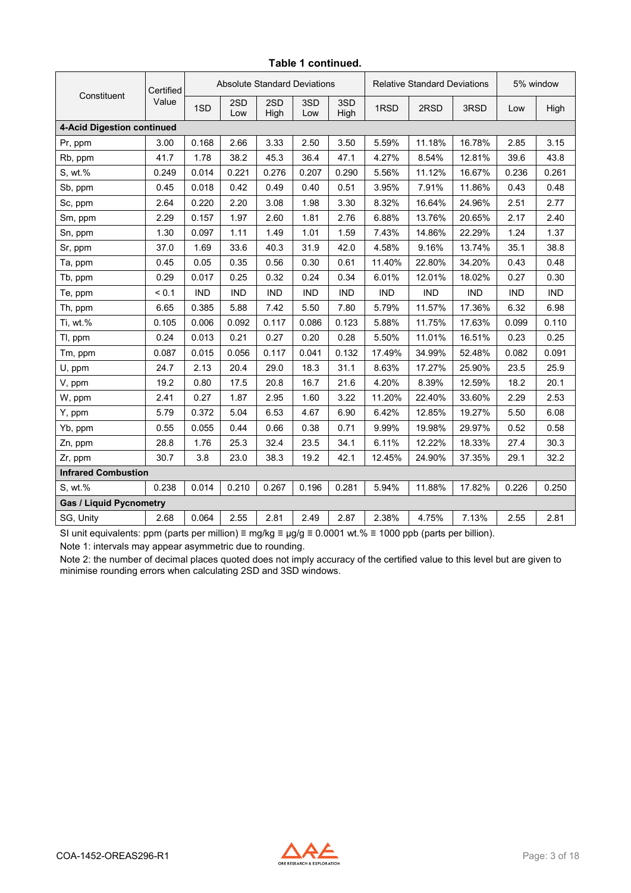|                                | Certified |            | <b>Absolute Standard Deviations</b> |             |            |             | <b>Relative Standard Deviations</b> |            |            | 5% window  |            |
|--------------------------------|-----------|------------|-------------------------------------|-------------|------------|-------------|-------------------------------------|------------|------------|------------|------------|
| Constituent                    | Value     | 1SD        | 2SD<br>Low                          | 2SD<br>High | 3SD<br>Low | 3SD<br>High | 1RSD                                | 2RSD       | 3RSD       | Low        | High       |
| 4-Acid Digestion continued     |           |            |                                     |             |            |             |                                     |            |            |            |            |
| Pr, ppm                        | 3.00      | 0.168      | 2.66                                | 3.33        | 2.50       | 3.50        | 5.59%                               | 11.18%     | 16.78%     | 2.85       | 3.15       |
| Rb, ppm                        | 41.7      | 1.78       | 38.2                                | 45.3        | 36.4       | 47.1        | 4.27%                               | 8.54%      | 12.81%     | 39.6       | 43.8       |
| S, wt.%                        | 0.249     | 0.014      | 0.221                               | 0.276       | 0.207      | 0.290       | 5.56%                               | 11.12%     | 16.67%     | 0.236      | 0.261      |
| Sb, ppm                        | 0.45      | 0.018      | 0.42                                | 0.49        | 0.40       | 0.51        | 3.95%                               | 7.91%      | 11.86%     | 0.43       | 0.48       |
| Sc, ppm                        | 2.64      | 0.220      | 2.20                                | 3.08        | 1.98       | 3.30        | 8.32%                               | 16.64%     | 24.96%     | 2.51       | 2.77       |
| Sm, ppm                        | 2.29      | 0.157      | 1.97                                | 2.60        | 1.81       | 2.76        | 6.88%                               | 13.76%     | 20.65%     | 2.17       | 2.40       |
| Sn, ppm                        | 1.30      | 0.097      | 1.11                                | 1.49        | 1.01       | 1.59        | 7.43%                               | 14.86%     | 22.29%     | 1.24       | 1.37       |
| Sr, ppm                        | 37.0      | 1.69       | 33.6                                | 40.3        | 31.9       | 42.0        | 4.58%                               | 9.16%      | 13.74%     | 35.1       | 38.8       |
| Ta, ppm                        | 0.45      | 0.05       | 0.35                                | 0.56        | 0.30       | 0.61        | 11.40%                              | 22.80%     | 34.20%     | 0.43       | 0.48       |
| Tb, ppm                        | 0.29      | 0.017      | 0.25                                | 0.32        | 0.24       | 0.34        | 6.01%                               | 12.01%     | 18.02%     | 0.27       | 0.30       |
| Te, ppm                        | < 0.1     | <b>IND</b> | <b>IND</b>                          | <b>IND</b>  | <b>IND</b> | <b>IND</b>  | <b>IND</b>                          | <b>IND</b> | <b>IND</b> | <b>IND</b> | <b>IND</b> |
| Th, ppm                        | 6.65      | 0.385      | 5.88                                | 7.42        | 5.50       | 7.80        | 5.79%                               | 11.57%     | 17.36%     | 6.32       | 6.98       |
| Ti, wt.%                       | 0.105     | 0.006      | 0.092                               | 0.117       | 0.086      | 0.123       | 5.88%                               | 11.75%     | 17.63%     | 0.099      | 0.110      |
| Tl, ppm                        | 0.24      | 0.013      | 0.21                                | 0.27        | 0.20       | 0.28        | 5.50%                               | 11.01%     | 16.51%     | 0.23       | 0.25       |
| Tm, ppm                        | 0.087     | 0.015      | 0.056                               | 0.117       | 0.041      | 0.132       | 17.49%                              | 34.99%     | 52.48%     | 0.082      | 0.091      |
| $U$ , ppm                      | 24.7      | 2.13       | 20.4                                | 29.0        | 18.3       | 31.1        | 8.63%                               | 17.27%     | 25.90%     | 23.5       | 25.9       |
| V, ppm                         | 19.2      | 0.80       | 17.5                                | 20.8        | 16.7       | 21.6        | 4.20%                               | 8.39%      | 12.59%     | 18.2       | 20.1       |
| W, ppm                         | 2.41      | 0.27       | 1.87                                | 2.95        | 1.60       | 3.22        | 11.20%                              | 22.40%     | 33.60%     | 2.29       | 2.53       |
| Y, ppm                         | 5.79      | 0.372      | 5.04                                | 6.53        | 4.67       | 6.90        | 6.42%                               | 12.85%     | 19.27%     | 5.50       | 6.08       |
| Yb, ppm                        | 0.55      | 0.055      | 0.44                                | 0.66        | 0.38       | 0.71        | 9.99%                               | 19.98%     | 29.97%     | 0.52       | 0.58       |
| Zn, ppm                        | 28.8      | 1.76       | 25.3                                | 32.4        | 23.5       | 34.1        | 6.11%                               | 12.22%     | 18.33%     | 27.4       | 30.3       |
| Zr, ppm                        | 30.7      | 3.8        | 23.0                                | 38.3        | 19.2       | 42.1        | 12.45%                              | 24.90%     | 37.35%     | 29.1       | 32.2       |
| <b>Infrared Combustion</b>     |           |            |                                     |             |            |             |                                     |            |            |            |            |
| S. wt.%                        | 0.238     | 0.014      | 0.210                               | 0.267       | 0.196      | 0.281       | 5.94%                               | 11.88%     | 17.82%     | 0.226      | 0.250      |
| <b>Gas / Liquid Pycnometry</b> |           |            |                                     |             |            |             |                                     |            |            |            |            |
| SG, Unity                      | 2.68      | 0.064      | 2.55                                | 2.81        | 2.49       | 2.87        | 2.38%                               | 4.75%      | 7.13%      | 2.55       | 2.81       |

#### **Table 1 continued.**

SI unit equivalents: ppm (parts per million) ≡ mg/kg ≡ µg/g ≡ 0.0001 wt.% ≡ 1000 ppb (parts per billion).

Note 1: intervals may appear asymmetric due to rounding.

Note 2: the number of decimal places quoted does not imply accuracy of the certified value to this level but are given to minimise rounding errors when calculating 2SD and 3SD windows.

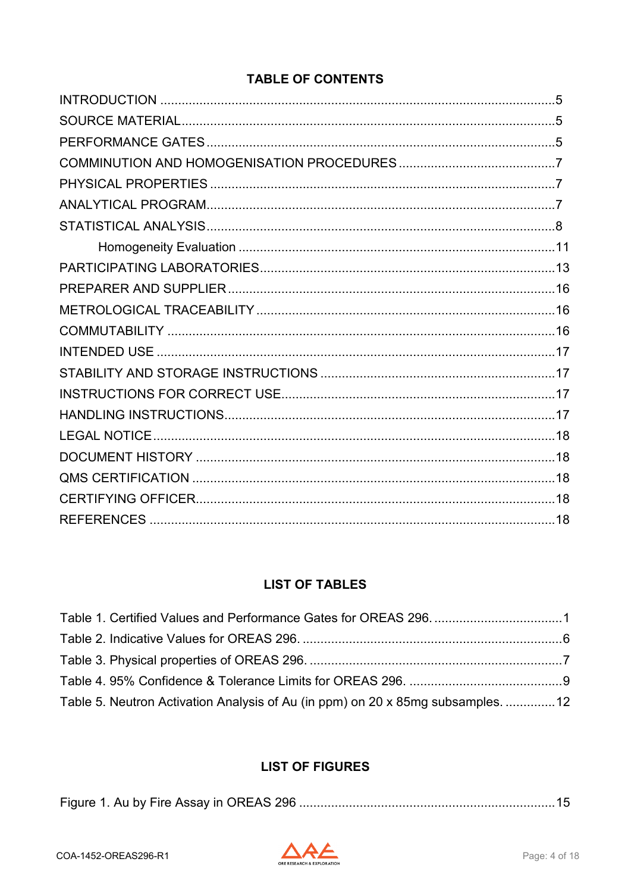### **TABLE OF CONTENTS**

### **LIST OF TABLES**

| Table 5. Neutron Activation Analysis of Au (in ppm) on 20 x 85mg subsamples.  12 |  |
|----------------------------------------------------------------------------------|--|

### **LIST OF FIGURES**

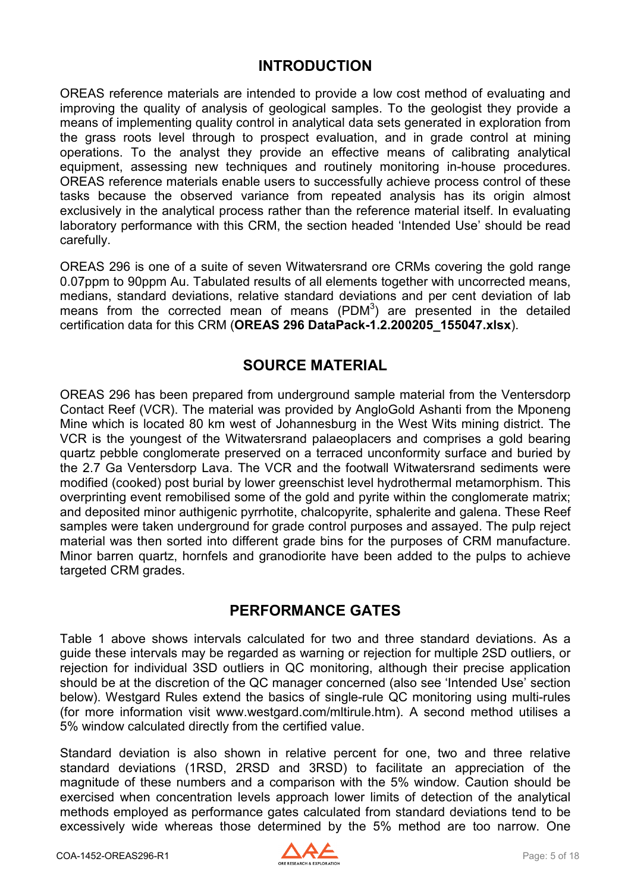### **INTRODUCTION**

<span id="page-4-0"></span>OREAS reference materials are intended to provide a low cost method of evaluating and improving the quality of analysis of geological samples. To the geologist they provide a means of implementing quality control in analytical data sets generated in exploration from the grass roots level through to prospect evaluation, and in grade control at mining operations. To the analyst they provide an effective means of calibrating analytical equipment, assessing new techniques and routinely monitoring in-house procedures. OREAS reference materials enable users to successfully achieve process control of these tasks because the observed variance from repeated analysis has its origin almost exclusively in the analytical process rather than the reference material itself. In evaluating laboratory performance with this CRM, the section headed 'Intended Use' should be read carefully.

OREAS 296 is one of a suite of seven Witwatersrand ore CRMs covering the gold range 0.07ppm to 90ppm Au. Tabulated results of all elements together with uncorrected means, medians, standard deviations, relative standard deviations and per cent deviation of lab means from the corrected mean of means  $(PDM<sup>3</sup>)$  are presented in the detailed certification data for this CRM (**OREAS 296 DataPack-1.2.200205\_155047.xlsx**).

### **SOURCE MATERIAL**

<span id="page-4-1"></span>OREAS 296 has been prepared from underground sample material from the Ventersdorp Contact Reef (VCR). The material was provided by AngloGold Ashanti from the Mponeng Mine which is located 80 km west of Johannesburg in the West Wits mining district. The VCR is the youngest of the Witwatersrand palaeoplacers and comprises a gold bearing quartz pebble conglomerate preserved on a terraced unconformity surface and buried by the 2.7 Ga Ventersdorp Lava. The VCR and the footwall Witwatersrand sediments were modified (cooked) post burial by lower greenschist level hydrothermal metamorphism. This overprinting event remobilised some of the gold and pyrite within the conglomerate matrix; and deposited minor authigenic pyrrhotite, chalcopyrite, sphalerite and galena. These Reef samples were taken underground for grade control purposes and assayed. The pulp reject material was then sorted into different grade bins for the purposes of CRM manufacture. Minor barren quartz, hornfels and granodiorite have been added to the pulps to achieve targeted CRM grades.

### **PERFORMANCE GATES**

<span id="page-4-2"></span>Table 1 above shows intervals calculated for two and three standard deviations. As a guide these intervals may be regarded as warning or rejection for multiple 2SD outliers, or rejection for individual 3SD outliers in QC monitoring, although their precise application should be at the discretion of the QC manager concerned (also see 'Intended Use' section below). Westgard Rules extend the basics of single-rule QC monitoring using multi-rules (for more information visit www.westgard.com/mltirule.htm). A second method utilises a 5% window calculated directly from the certified value.

Standard deviation is also shown in relative percent for one, two and three relative standard deviations (1RSD, 2RSD and 3RSD) to facilitate an appreciation of the magnitude of these numbers and a comparison with the 5% window. Caution should be exercised when concentration levels approach lower limits of detection of the analytical methods employed as performance gates calculated from standard deviations tend to be excessively wide whereas those determined by the 5% method are too narrow. One

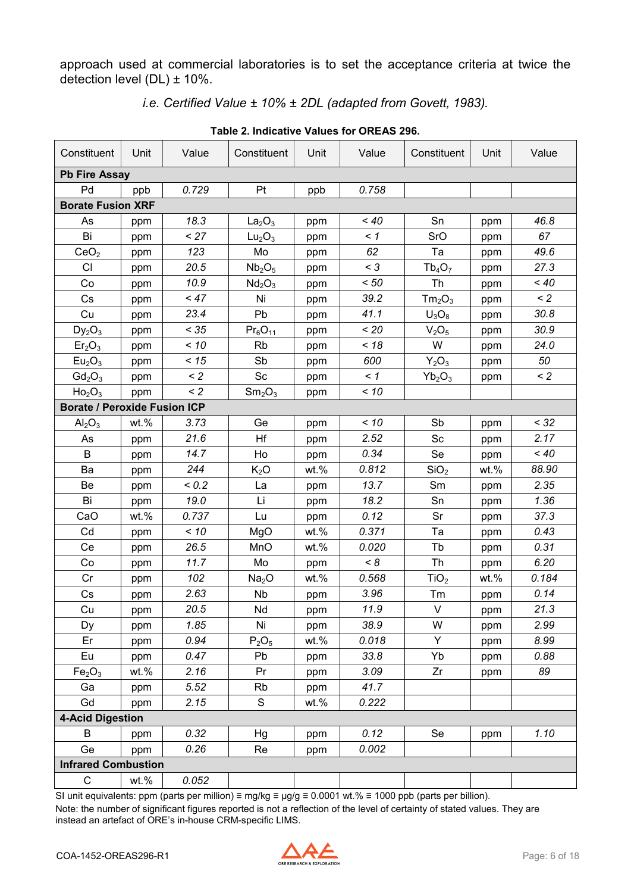approach used at commercial laboratories is to set the acceptance criteria at twice the detection level  $(DL) \pm 10\%$ .

*i.e. Certified Value ± 10% ± 2DL (adapted from Govett, 1983).*

<span id="page-5-0"></span>

|                                     |         |          | Table 2. Illuicative values for OKLAS 250. |         |          |                                |         |          |
|-------------------------------------|---------|----------|--------------------------------------------|---------|----------|--------------------------------|---------|----------|
| Constituent                         | Unit    | Value    | Constituent                                | Unit    | Value    | Constituent                    | Unit    | Value    |
| <b>Pb Fire Assay</b>                |         |          |                                            |         |          |                                |         |          |
| Pd                                  | ppb     | 0.729    | Pt                                         | ppb     | 0.758    |                                |         |          |
| <b>Borate Fusion XRF</b>            |         |          |                                            |         |          |                                |         |          |
| As                                  | ppm     | 18.3     | La <sub>2</sub> O <sub>3</sub>             | ppm     | $~<$ 40  | Sn                             | ppm     | 46.8     |
| Bi                                  | ppm     | < 27     | Lu <sub>2</sub> O <sub>3</sub>             | ppm     | $\leq$ 1 | SrO                            | ppm     | 67       |
| CeO <sub>2</sub>                    | ppm     | 123      | Mo                                         | ppm     | 62       | Ta                             | ppm     | 49.6     |
| <b>CI</b>                           | ppm     | 20.5     | Nb <sub>2</sub> O <sub>5</sub>             | ppm     | $<$ 3    | $Tb_4O_7$                      | ppm     | 27.3     |
| Co                                  | ppm     | 10.9     | Nd <sub>2</sub> O <sub>3</sub>             | ppm     | < 50     | Th                             | ppm     | $~<$ 40  |
| Cs                                  | ppm     | < 47     | Ni                                         | ppm     | 39.2     | Tm <sub>2</sub> O <sub>3</sub> | ppm     | $\leq$ 2 |
| Cu                                  | ppm     | 23.4     | Pb                                         | ppm     | 41.1     | $U_3O_8$                       | ppm     | 30.8     |
| $Dy_2O_3$                           | ppm     | < 35     | $Pr_6O_{11}$                               | ppm     | < 20     | V <sub>2</sub> O <sub>5</sub>  | ppm     | 30.9     |
| Er <sub>2</sub> O <sub>3</sub>      | ppm     | < 10     | Rb                                         | ppm     | < 18     | W                              | ppm     | 24.0     |
| Eu <sub>2</sub> O <sub>3</sub>      | ppm     | < 15     | Sb                                         | ppm     | 600      | $Y_2O_3$                       | ppm     | 50       |
| $Gd_2O_3$                           | ppm     | $\leq$ 2 | $\operatorname{\mathsf{Sc}}$               | ppm     | $\leq$ 1 | $Yb_2O_3$                      | ppm     | $\leq$ 2 |
| Ho <sub>2</sub> O <sub>3</sub>      | ppm     | $\leq$ 2 | Sm <sub>2</sub> O <sub>3</sub>             | ppm     | < 10     |                                |         |          |
| <b>Borate / Peroxide Fusion ICP</b> |         |          |                                            |         |          |                                |         |          |
| $\text{Al}_2\text{O}_3$             | $wt.$ % | 3.73     | Ge                                         | ppm     | < 10     | Sb                             | ppm     | < 32     |
| As                                  | ppm     | 21.6     | Hf                                         | ppm     | 2.52     | Sc                             | ppm     | 2.17     |
| B                                   | ppm     | 14.7     | Ho                                         | ppm     | 0.34     | Se                             | ppm     | $~<$ 40  |
| Ba                                  | ppm     | 244      | $K_2O$                                     | wt.%    | 0.812    | SiO <sub>2</sub>               | $wt.$ % | 88.90    |
| Be                                  | ppm     | < 0.2    | La                                         | ppm     | 13.7     | Sm                             | ppm     | 2.35     |
| Bi                                  | ppm     | 19.0     | Li                                         | ppm     | 18.2     | Sn                             | ppm     | 1.36     |
| CaO                                 | wt.%    | 0.737    | Lu                                         | ppm     | 0.12     | Sr                             | ppm     | 37.3     |
| Cd                                  | ppm     | < 10     | MgO                                        | wt.%    | 0.371    | Ta                             | ppm     | 0.43     |
| Ce                                  | ppm     | 26.5     | MnO                                        | wt.%    | 0.020    | Tb                             | ppm     | 0.31     |
| Co                                  | ppm     | 11.7     | Mo                                         | ppm     | < 8      | Th                             | ppm     | 6.20     |
| Cr                                  | ppm     | 102      | Na <sub>2</sub> O                          | $wt.$ % | 0.568    | TiO <sub>2</sub>               | wt.%    | 0.184    |
| Cs                                  | ppm     | 2.63     | Nb                                         | ppm     | 3.96     | Tm                             | ppm     | 0.14     |
| Cu                                  | ppm     | 20.5     | Nd                                         | ppm     | 11.9     | V                              | ppm     | 21.3     |
| Dy                                  | ppm     | 1.85     | Ni                                         | ppm     | 38.9     | W                              | ppm     | 2.99     |
| Er                                  | ppm     | 0.94     | $P_2O_5$                                   | wt.%    | 0.018    | Y                              | ppm     | 8.99     |
| Eu                                  | ppm     | 0.47     | Pb                                         | ppm     | 33.8     | Yb                             | ppm     | 0.88     |
| Fe <sub>2</sub> O <sub>3</sub>      | wt.%    | 2.16     | Pr                                         | ppm     | 3.09     | Zr                             | ppm     | 89       |
| Ga                                  | ppm     | 5.52     | <b>Rb</b>                                  | ppm     | 41.7     |                                |         |          |
| Gd                                  | ppm     | 2.15     | S                                          | $wt.$ % | 0.222    |                                |         |          |
| <b>4-Acid Digestion</b>             |         |          |                                            |         |          |                                |         |          |
| B                                   | ppm     | 0.32     | Hg                                         | ppm     | 0.12     | Se                             | ppm     | 1.10     |
| Ge                                  | ppm     | 0.26     | Re                                         | ppm     | 0.002    |                                |         |          |
| <b>Infrared Combustion</b>          |         |          |                                            |         |          |                                |         |          |
| C                                   | wt.%    | 0.052    |                                            |         |          |                                |         |          |
|                                     |         |          |                                            |         |          |                                |         |          |

**Table 2. Indicative Values for OREAS 296.**

SI unit equivalents: ppm (parts per million) ≡ mg/kg ≡ µg/g ≡ 0.0001 wt.% ≡ 1000 ppb (parts per billion). Note: the number of significant figures reported is not a reflection of the level of certainty of stated values. They are

instead an artefact of ORE's in-house CRM-specific LIMS.

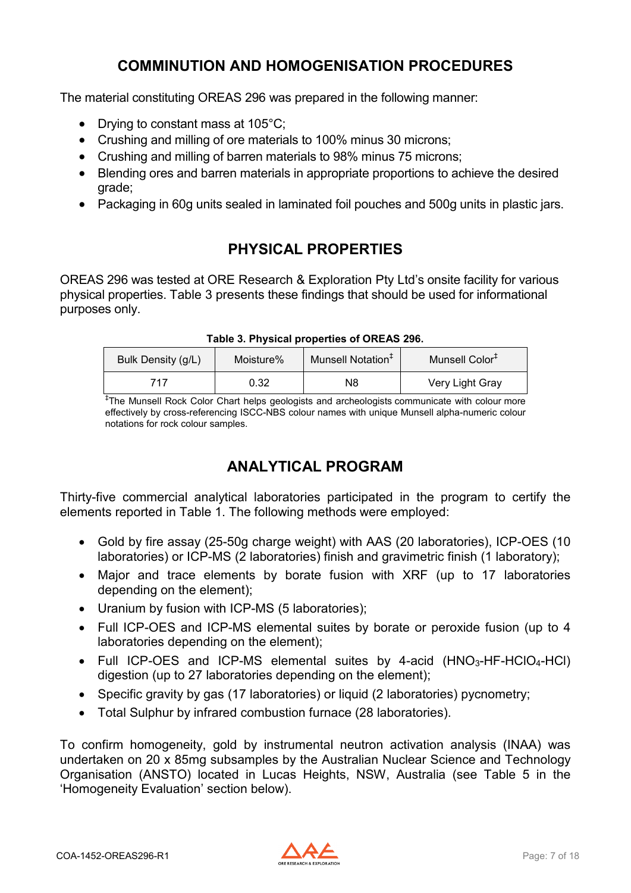### **COMMINUTION AND HOMOGENISATION PROCEDURES**

<span id="page-6-0"></span>The material constituting OREAS 296 was prepared in the following manner:

- Drying to constant mass at 105°C;
- Crushing and milling of ore materials to 100% minus 30 microns;
- Crushing and milling of barren materials to 98% minus 75 microns;
- Blending ores and barren materials in appropriate proportions to achieve the desired grade;
- Packaging in 60g units sealed in laminated foil pouches and 500g units in plastic jars.

# **PHYSICAL PROPERTIES**

<span id="page-6-1"></span>OREAS 296 was tested at ORE Research & Exploration Pty Ltd's onsite facility for various physical properties. Table 3 presents these findings that should be used for informational purposes only.

<span id="page-6-3"></span>

| Bulk Density (g/L) | Moisture% | Munsell Notation <sup>+</sup> | Munsell Color <sup>+</sup> |
|--------------------|-----------|-------------------------------|----------------------------|
| 717                | 0.32      | N8                            | Very Light Gray            |

#### **Table 3. Physical properties of OREAS 296.**

‡ The Munsell Rock Color Chart helps geologists and archeologists communicate with colour more effectively by cross-referencing ISCC-NBS colour names with unique Munsell alpha-numeric colour notations for rock colour samples.

### **ANALYTICAL PROGRAM**

<span id="page-6-2"></span>Thirty-five commercial analytical laboratories participated in the program to certify the elements reported in Table 1. The following methods were employed:

- Gold by fire assay (25-50g charge weight) with AAS (20 laboratories), ICP-OES (10 laboratories) or ICP-MS (2 laboratories) finish and gravimetric finish (1 laboratory);
- Major and trace elements by borate fusion with XRF (up to 17 laboratories depending on the element);
- Uranium by fusion with ICP-MS (5 laboratories);
- Full ICP-OES and ICP-MS elemental suites by borate or peroxide fusion (up to 4 laboratories depending on the element);
- Full ICP-OES and ICP-MS elemental suites by 4-acid  $(HNO<sub>3</sub>-HF-HClO<sub>4</sub>-HCl)$ digestion (up to 27 laboratories depending on the element);
- Specific gravity by gas (17 laboratories) or liquid (2 laboratories) pycnometry;
- Total Sulphur by infrared combustion furnace (28 laboratories).

To confirm homogeneity, gold by instrumental neutron activation analysis (INAA) was undertaken on 20 x 85mg subsamples by the Australian Nuclear Science and Technology Organisation (ANSTO) located in Lucas Heights, NSW, Australia (see Table 5 in the 'Homogeneity Evaluation' section below).

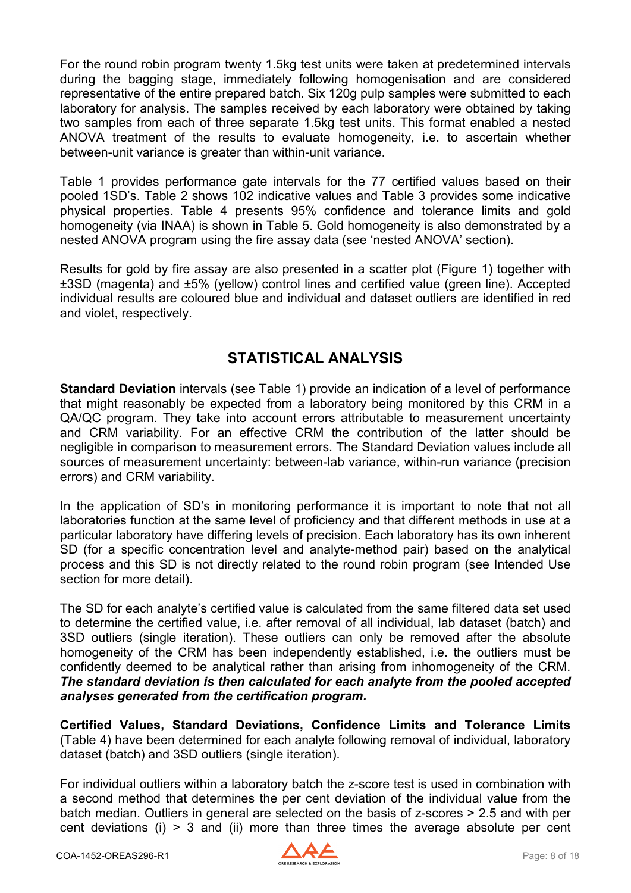For the round robin program twenty 1.5kg test units were taken at predetermined intervals during the bagging stage, immediately following homogenisation and are considered representative of the entire prepared batch. Six 120g pulp samples were submitted to each laboratory for analysis. The samples received by each laboratory were obtained by taking two samples from each of three separate 1.5kg test units. This format enabled a nested ANOVA treatment of the results to evaluate homogeneity, i.e. to ascertain whether between-unit variance is greater than within-unit variance.

Table 1 provides performance gate intervals for the 77 certified values based on their pooled 1SD's. Table 2 shows 102 indicative values and Table 3 provides some indicative physical properties. Table 4 presents 95% confidence and tolerance limits and gold homogeneity (via INAA) is shown in Table 5. Gold homogeneity is also demonstrated by a nested ANOVA program using the fire assay data (see 'nested ANOVA' section).

Results for gold by fire assay are also presented in a scatter plot (Figure 1) together with ±3SD (magenta) and ±5% (yellow) control lines and certified value (green line). Accepted individual results are coloured blue and individual and dataset outliers are identified in red and violet, respectively.

### **STATISTICAL ANALYSIS**

<span id="page-7-0"></span>**Standard Deviation** intervals (see Table 1) provide an indication of a level of performance that might reasonably be expected from a laboratory being monitored by this CRM in a QA/QC program. They take into account errors attributable to measurement uncertainty and CRM variability. For an effective CRM the contribution of the latter should be negligible in comparison to measurement errors. The Standard Deviation values include all sources of measurement uncertainty: between-lab variance, within-run variance (precision errors) and CRM variability.

In the application of SD's in monitoring performance it is important to note that not all laboratories function at the same level of proficiency and that different methods in use at a particular laboratory have differing levels of precision. Each laboratory has its own inherent SD (for a specific concentration level and analyte-method pair) based on the analytical process and this SD is not directly related to the round robin program (see Intended Use section for more detail).

The SD for each analyte's certified value is calculated from the same filtered data set used to determine the certified value, i.e. after removal of all individual, lab dataset (batch) and 3SD outliers (single iteration). These outliers can only be removed after the absolute homogeneity of the CRM has been independently established, i.e. the outliers must be confidently deemed to be analytical rather than arising from inhomogeneity of the CRM. *The standard deviation is then calculated for each analyte from the pooled accepted analyses generated from the certification program.*

**Certified Values, Standard Deviations, Confidence Limits and Tolerance Limits**  (Table 4) have been determined for each analyte following removal of individual, laboratory dataset (batch) and 3SD outliers (single iteration).

For individual outliers within a laboratory batch the z-score test is used in combination with a second method that determines the per cent deviation of the individual value from the batch median. Outliers in general are selected on the basis of z-scores > 2.5 and with per cent deviations (i) > 3 and (ii) more than three times the average absolute per cent

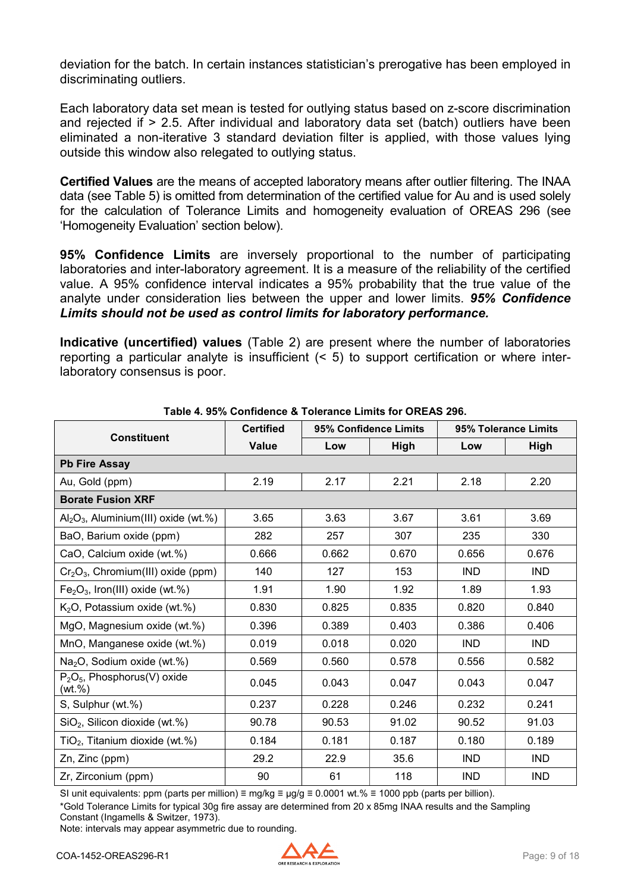deviation for the batch. In certain instances statistician's prerogative has been employed in discriminating outliers.

Each laboratory data set mean is tested for outlying status based on z-score discrimination and rejected if > 2.5. After individual and laboratory data set (batch) outliers have been eliminated a non-iterative 3 standard deviation filter is applied, with those values lying outside this window also relegated to outlying status.

**Certified Values** are the means of accepted laboratory means after outlier filtering. The INAA data (see Table 5) is omitted from determination of the certified value for Au and is used solely for the calculation of Tolerance Limits and homogeneity evaluation of OREAS 296 (see 'Homogeneity Evaluation' section below).

**95% Confidence Limits** are inversely proportional to the number of participating laboratories and inter-laboratory agreement. It is a measure of the reliability of the certified value. A 95% confidence interval indicates a 95% probability that the true value of the analyte under consideration lies between the upper and lower limits. *95% Confidence Limits should not be used as control limits for laboratory performance.*

**Indicative (uncertified) values** (Table 2) are present where the number of laboratories reporting a particular analyte is insufficient (< 5) to support certification or where interlaboratory consensus is poor.

<span id="page-8-0"></span>

|                                                       | <b>Certified</b> | 95% Confidence Limits |       | 95% Tolerance Limits |            |  |
|-------------------------------------------------------|------------------|-----------------------|-------|----------------------|------------|--|
| <b>Constituent</b>                                    | <b>Value</b>     | Low<br>High           |       | Low                  | High       |  |
| <b>Pb Fire Assay</b>                                  |                  |                       |       |                      |            |  |
| Au, Gold (ppm)                                        | 2.19             | 2.17                  | 2.21  | 2.18                 | 2.20       |  |
| <b>Borate Fusion XRF</b>                              |                  |                       |       |                      |            |  |
| $\text{Al}_2\text{O}_3$ , Aluminium(III) oxide (wt.%) | 3.65             | 3.63                  | 3.67  | 3.61                 | 3.69       |  |
| BaO, Barium oxide (ppm)                               | 282              | 257                   | 307   | 235                  | 330        |  |
| CaO, Calcium oxide (wt.%)                             | 0.666            | 0.662                 | 0.670 | 0.656                | 0.676      |  |
| $Cr2O3$ , Chromium(III) oxide (ppm)                   | 140              | 127                   | 153   | <b>IND</b>           | <b>IND</b> |  |
| $Fe2O3$ , Iron(III) oxide (wt.%)                      | 1.91             | 1.90                  | 1.92  | 1.89                 | 1.93       |  |
| $K2O$ , Potassium oxide (wt.%)                        | 0.830            | 0.825                 | 0.835 | 0.820                | 0.840      |  |
| MgO, Magnesium oxide (wt.%)                           | 0.396            | 0.389                 | 0.403 | 0.386                | 0.406      |  |
| MnO, Manganese oxide (wt.%)                           | 0.019            | 0.018                 | 0.020 | <b>IND</b>           | <b>IND</b> |  |
| Na <sub>2</sub> O, Sodium oxide (wt.%)                | 0.569            | 0.560                 | 0.578 | 0.556                | 0.582      |  |
| $P_2O_5$ , Phosphorus(V) oxide<br>(wt.%)              | 0.045            | 0.043                 | 0.047 | 0.043                | 0.047      |  |
| S, Sulphur (wt.%)                                     | 0.237            | 0.228                 | 0.246 | 0.232                | 0.241      |  |
| $SiO2$ , Silicon dioxide (wt.%)                       | 90.78            | 90.53                 | 91.02 | 90.52                | 91.03      |  |
| $TiO2$ , Titanium dioxide (wt.%)                      | 0.184            | 0.181                 | 0.187 | 0.180                | 0.189      |  |
| Zn, Zinc (ppm)                                        | 29.2             | 22.9                  | 35.6  | <b>IND</b>           | <b>IND</b> |  |
| Zr, Zirconium (ppm)                                   | 90               | 61                    | 118   | <b>IND</b>           | <b>IND</b> |  |

**Table 4. 95% Confidence & Tolerance Limits for OREAS 296.**

SI unit equivalents: ppm (parts per million) ≡ mg/kg ≡  $\mu$ g/g ≡ 0.0001 wt.% ≡ 1000 ppb (parts per billion).

\*Gold Tolerance Limits for typical 30g fire assay are determined from 20 x 85mg INAA results and the Sampling Constant (Ingamells & Switzer, 1973).

Note: intervals may appear asymmetric due to rounding.

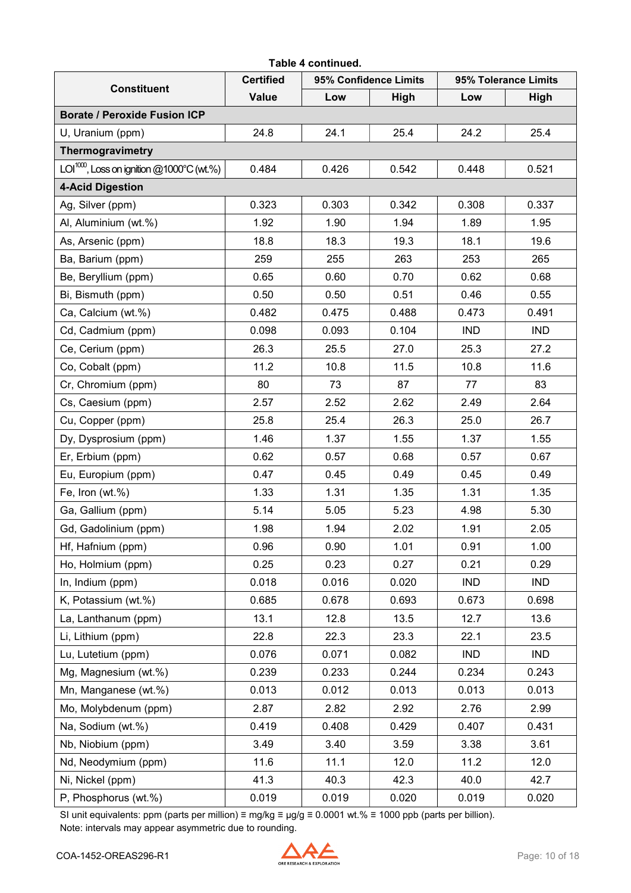|                                                 |                  | Table 4 continued. |                       |                      |             |  |
|-------------------------------------------------|------------------|--------------------|-----------------------|----------------------|-------------|--|
|                                                 | <b>Certified</b> |                    | 95% Confidence Limits | 95% Tolerance Limits |             |  |
| <b>Constituent</b>                              | <b>Value</b>     | Low                | <b>High</b>           | Low                  | <b>High</b> |  |
| <b>Borate / Peroxide Fusion ICP</b>             |                  |                    |                       |                      |             |  |
| U, Uranium (ppm)                                | 24.8             | 24.1               | 25.4                  | 24.2                 | 25.4        |  |
| Thermogravimetry                                |                  |                    |                       |                      |             |  |
| LOI $^{1000}$ , Loss on ignition @1000°C (wt.%) | 0.484            | 0.426              | 0.542                 | 0.448                | 0.521       |  |
| <b>4-Acid Digestion</b>                         |                  |                    |                       |                      |             |  |
| Ag, Silver (ppm)                                | 0.323            | 0.303              | 0.342                 | 0.308                | 0.337       |  |
| Al, Aluminium (wt.%)                            | 1.92             | 1.90               | 1.94                  | 1.89                 | 1.95        |  |
| As, Arsenic (ppm)                               | 18.8             | 18.3               | 19.3                  | 18.1                 | 19.6        |  |
| Ba, Barium (ppm)                                | 259              | 255                | 263                   | 253                  | 265         |  |
| Be, Beryllium (ppm)                             | 0.65             | 0.60               | 0.70                  | 0.62                 | 0.68        |  |
| Bi, Bismuth (ppm)                               | 0.50             | 0.50               | 0.51                  | 0.46                 | 0.55        |  |
| Ca, Calcium (wt.%)                              | 0.482            | 0.475              | 0.488                 | 0.473                | 0.491       |  |
| Cd, Cadmium (ppm)                               | 0.098            | 0.093              | 0.104                 | <b>IND</b>           | <b>IND</b>  |  |
| Ce, Cerium (ppm)                                | 26.3             | 25.5               | 27.0                  | 25.3                 | 27.2        |  |
| Co, Cobalt (ppm)                                | 11.2             | 10.8               | 11.5                  | 10.8                 | 11.6        |  |
| Cr, Chromium (ppm)                              | 80               | 73                 | 87                    | 77                   | 83          |  |
| Cs, Caesium (ppm)                               | 2.57             | 2.52               | 2.62                  | 2.49                 | 2.64        |  |
| Cu, Copper (ppm)                                | 25.8             | 25.4               | 26.3                  | 25.0                 | 26.7        |  |
| Dy, Dysprosium (ppm)                            | 1.46             | 1.37               | 1.55                  | 1.37                 | 1.55        |  |
| Er, Erbium (ppm)                                | 0.62             | 0.57               | 0.68                  | 0.57                 | 0.67        |  |
| Eu, Europium (ppm)                              | 0.47             | 0.45               | 0.49                  | 0.45                 | 0.49        |  |
| Fe, Iron (wt.%)                                 | 1.33             | 1.31               | 1.35                  | 1.31                 | 1.35        |  |
| Ga, Gallium (ppm)                               | 5.14             | 5.05               | 5.23                  | 4.98                 | 5.30        |  |
| Gd, Gadolinium (ppm)                            | 1.98             | 1.94               | 2.02                  | 1.91                 | 2.05        |  |
| Hf, Hafnium (ppm)                               | 0.96             | 0.90               | 1.01                  | 0.91                 | 1.00        |  |
| Ho, Holmium (ppm)                               | 0.25             | 0.23               | 0.27                  | 0.21                 | 0.29        |  |
| In, Indium (ppm)                                | 0.018            | 0.016              | 0.020                 | <b>IND</b>           | <b>IND</b>  |  |
| K, Potassium (wt.%)                             | 0.685            | 0.678              | 0.693                 | 0.673                | 0.698       |  |
| La, Lanthanum (ppm)                             | 13.1             | 12.8               | 13.5                  | 12.7                 | 13.6        |  |
| Li, Lithium (ppm)                               | 22.8             | 22.3               | 23.3                  | 22.1                 | 23.5        |  |
| Lu, Lutetium (ppm)                              | 0.076            | 0.071              | 0.082                 | <b>IND</b>           | <b>IND</b>  |  |
| Mg, Magnesium (wt.%)                            | 0.239            | 0.233              | 0.244                 | 0.234                | 0.243       |  |
| Mn, Manganese (wt.%)                            | 0.013            | 0.012              | 0.013                 | 0.013                | 0.013       |  |
| Mo, Molybdenum (ppm)                            | 2.87             | 2.82               | 2.92                  | 2.76                 | 2.99        |  |
| Na, Sodium (wt.%)                               | 0.419            | 0.408              | 0.429                 | 0.407                | 0.431       |  |
| Nb, Niobium (ppm)                               | 3.49             | 3.40               | 3.59                  | 3.38                 | 3.61        |  |
| Nd, Neodymium (ppm)                             | 11.6             | 11.1               | 12.0                  | 11.2                 | 12.0        |  |
| Ni, Nickel (ppm)                                | 41.3             | 40.3               | 42.3                  | 40.0                 | 42.7        |  |
| P, Phosphorus (wt.%)                            | 0.019            | 0.019              | 0.020                 | 0.019                | 0.020       |  |

SI unit equivalents: ppm (parts per million) ≡ mg/kg ≡ µg/g ≡ 0.0001 wt.% ≡ 1000 ppb (parts per billion). Note: intervals may appear asymmetric due to rounding.

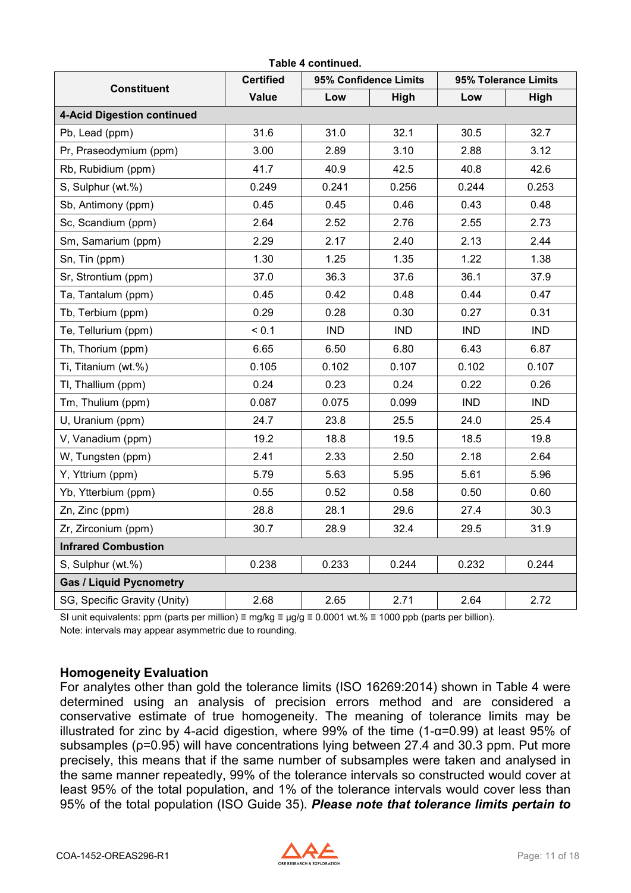| <b>Constituent</b>                | <b>Certified</b> |            | 95% Confidence Limits | 95% Tolerance Limits |            |  |
|-----------------------------------|------------------|------------|-----------------------|----------------------|------------|--|
|                                   | <b>Value</b>     | Low        | High                  | Low                  | High       |  |
| <b>4-Acid Digestion continued</b> |                  |            |                       |                      |            |  |
| Pb, Lead (ppm)                    | 31.6             | 31.0       | 32.1                  | 30.5                 | 32.7       |  |
| Pr, Praseodymium (ppm)            | 3.00             | 2.89       | 3.10                  | 2.88                 | 3.12       |  |
| Rb, Rubidium (ppm)                | 41.7             | 40.9       | 42.5                  | 40.8                 | 42.6       |  |
| S, Sulphur (wt.%)                 | 0.249            | 0.241      | 0.256                 | 0.244                | 0.253      |  |
| Sb, Antimony (ppm)                | 0.45             | 0.45       | 0.46                  | 0.43                 | 0.48       |  |
| Sc, Scandium (ppm)                | 2.64             | 2.52       | 2.76                  | 2.55                 | 2.73       |  |
| Sm, Samarium (ppm)                | 2.29             | 2.17       | 2.40                  | 2.13                 | 2.44       |  |
| Sn, Tin (ppm)                     | 1.30             | 1.25       | 1.35                  | 1.22                 | 1.38       |  |
| Sr, Strontium (ppm)               | 37.0             | 36.3       | 37.6                  | 36.1                 | 37.9       |  |
| Ta, Tantalum (ppm)                | 0.45             | 0.42       | 0.48                  | 0.44                 | 0.47       |  |
| Tb, Terbium (ppm)                 | 0.29             | 0.28       | 0.30                  | 0.27                 | 0.31       |  |
| Te, Tellurium (ppm)               | < 0.1            | <b>IND</b> | <b>IND</b>            | <b>IND</b>           | <b>IND</b> |  |
| Th, Thorium (ppm)                 | 6.65             | 6.50       | 6.80                  | 6.43                 | 6.87       |  |
| Ti, Titanium (wt.%)               | 0.105            | 0.102      | 0.107                 | 0.102                | 0.107      |  |
| TI, Thallium (ppm)                | 0.24             | 0.23       | 0.24                  | 0.22                 | 0.26       |  |
| Tm, Thulium (ppm)                 | 0.087            | 0.075      | 0.099                 | <b>IND</b>           | <b>IND</b> |  |
| U, Uranium (ppm)                  | 24.7             | 23.8       | 25.5                  | 24.0                 | 25.4       |  |
| V, Vanadium (ppm)                 | 19.2             | 18.8       | 19.5                  | 18.5                 | 19.8       |  |
| W, Tungsten (ppm)                 | 2.41             | 2.33       | 2.50                  | 2.18                 | 2.64       |  |
| Y, Yttrium (ppm)                  | 5.79             | 5.63       | 5.95                  | 5.61                 | 5.96       |  |
| Yb, Ytterbium (ppm)               | 0.55             | 0.52       | 0.58                  | 0.50                 | 0.60       |  |
| Zn, Zinc (ppm)                    | 28.8             | 28.1       | 29.6                  | 27.4                 | 30.3       |  |
| Zr, Zirconium (ppm)               | 30.7             | 28.9       | 32.4                  | 29.5                 | 31.9       |  |
| <b>Infrared Combustion</b>        |                  |            |                       |                      |            |  |
| S, Sulphur (wt.%)                 | 0.238            | 0.233      | 0.244                 | 0.232                | 0.244      |  |
| <b>Gas / Liquid Pycnometry</b>    |                  |            |                       |                      |            |  |
| SG, Specific Gravity (Unity)      | 2.68             | 2.65       | 2.71                  | 2.64                 | 2.72       |  |

SI unit equivalents: ppm (parts per million) ≡ mg/kg ≡  $\mu$ g/g ≡ 0.0001 wt.% ≡ 1000 ppb (parts per billion). Note: intervals may appear asymmetric due to rounding.

#### <span id="page-10-0"></span>**Homogeneity Evaluation**

For analytes other than gold the tolerance limits (ISO 16269:2014) shown in Table 4 were determined using an analysis of precision errors method and are considered a conservative estimate of true homogeneity. The meaning of tolerance limits may be illustrated for zinc by 4-acid digestion, where 99% of the time (1-α=0.99) at least 95% of subsamples (ρ=0.95) will have concentrations lying between 27.4 and 30.3 ppm. Put more precisely, this means that if the same number of subsamples were taken and analysed in the same manner repeatedly, 99% of the tolerance intervals so constructed would cover at least 95% of the total population, and 1% of the tolerance intervals would cover less than 95% of the total population (ISO Guide 35). *Please note that tolerance limits pertain to* 

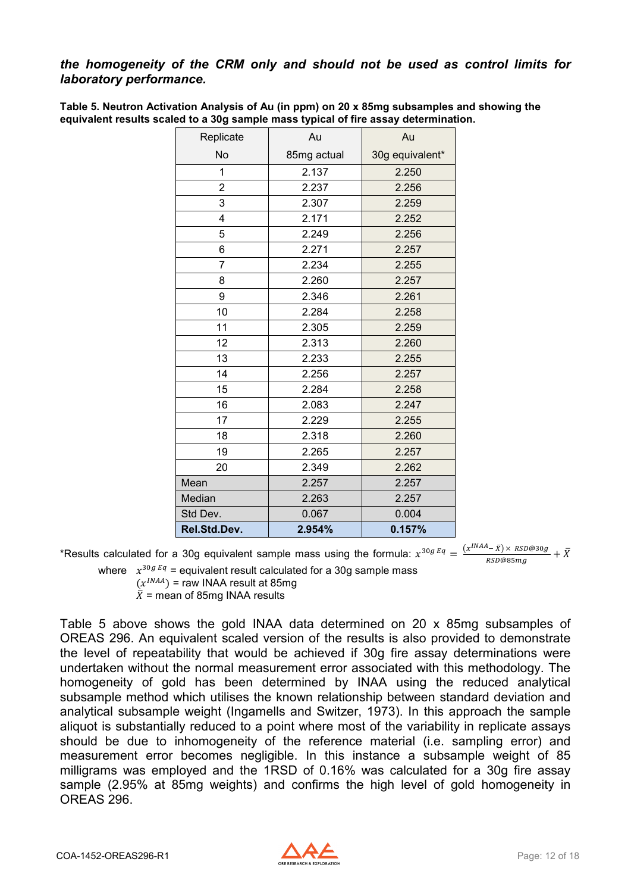#### *the homogeneity of the CRM only and should not be used as control limits for laboratory performance.*

<span id="page-11-0"></span>

| Table 5. Neutron Activation Analysis of Au (in ppm) on 20 x 85mg subsamples and showing the |
|---------------------------------------------------------------------------------------------|
| equivalent results scaled to a 30g sample mass typical of fire assay determination.         |

| Replicate      | Au          | Au              |
|----------------|-------------|-----------------|
| No             | 85mg actual | 30g equivalent* |
| 1              | 2.137       | 2.250           |
| $\overline{2}$ | 2.237       | 2.256           |
| 3              | 2.307       | 2.259           |
| 4              | 2.171       | 2.252           |
| 5              | 2.249       | 2.256           |
| 6              | 2.271       | 2.257           |
| 7              | 2.234       | 2.255           |
| 8              | 2.260       | 2.257           |
| 9              | 2.346       | 2.261           |
| 10             | 2.284       | 2.258           |
| 11             | 2.305       | 2.259           |
| 12             | 2.313       | 2.260           |
| 13             | 2.233       | 2.255           |
| 14             | 2.256       | 2.257           |
| 15             | 2.284       | 2.258           |
| 16             | 2.083       | 2.247           |
| 17             | 2.229       | 2.255           |
| 18             | 2.318       | 2.260           |
| 19             | 2.265       | 2.257           |
| 20             | 2.349       | 2.262           |
| Mean           | 2.257       | 2.257           |
| Median         | 2.263       | 2.257           |
| Std Dev.       | 0.067       | 0.004           |
| Rel.Std.Dev.   | 2.954%      | 0.157%          |

\*Results calculated for a 30g equivalent sample mass using the formula:  $x^{30gEq} = \frac{(x^{INAA}-\bar{x}) \times RSD@30g}{RSD@85mg} + \bar{X}$ where  $x^{30gEq}$  = equivalent result calculated for a 30g sample mass

 $(x^{INAA})$  = raw INAA result at 85mg

 $\overline{X}$  = mean of 85mg INAA results

Table 5 above shows the gold INAA data determined on 20 x 85mg subsamples of OREAS 296. An equivalent scaled version of the results is also provided to demonstrate the level of repeatability that would be achieved if 30g fire assay determinations were undertaken without the normal measurement error associated with this methodology. The homogeneity of gold has been determined by INAA using the reduced analytical subsample method which utilises the known relationship between standard deviation and analytical subsample weight (Ingamells and Switzer, 1973). In this approach the sample aliquot is substantially reduced to a point where most of the variability in replicate assays should be due to inhomogeneity of the reference material (i.e. sampling error) and measurement error becomes negligible. In this instance a subsample weight of 85 milligrams was employed and the 1RSD of 0.16% was calculated for a 30g fire assay sample (2.95% at 85mg weights) and confirms the high level of gold homogeneity in OREAS 296.

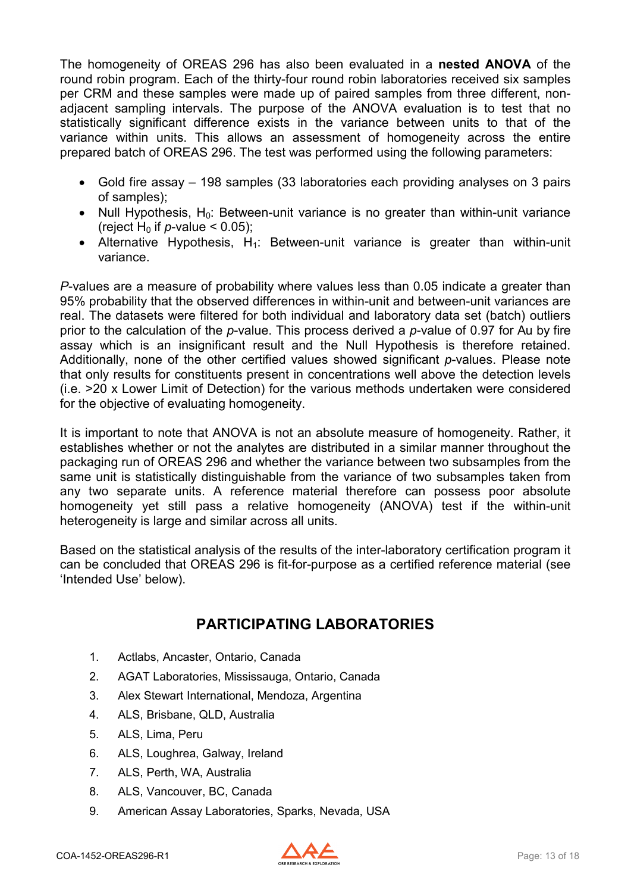The homogeneity of OREAS 296 has also been evaluated in a **nested ANOVA** of the round robin program. Each of the thirty-four round robin laboratories received six samples per CRM and these samples were made up of paired samples from three different, nonadjacent sampling intervals. The purpose of the ANOVA evaluation is to test that no statistically significant difference exists in the variance between units to that of the variance within units. This allows an assessment of homogeneity across the entire prepared batch of OREAS 296. The test was performed using the following parameters:

- Gold fire assay 198 samples (33 laboratories each providing analyses on 3 pairs of samples);
- Null Hypothesis,  $H_0$ : Between-unit variance is no greater than within-unit variance (reject H<sub>0</sub> if  $p$ -value < 0.05);
- Alternative Hypothesis,  $H_1$ : Between-unit variance is greater than within-unit variance.

*P*-values are a measure of probability where values less than 0.05 indicate a greater than 95% probability that the observed differences in within-unit and between-unit variances are real. The datasets were filtered for both individual and laboratory data set (batch) outliers prior to the calculation of the *p*-value. This process derived a *p*-value of 0.97 for Au by fire assay which is an insignificant result and the Null Hypothesis is therefore retained. Additionally, none of the other certified values showed significant *p*-values. Please note that only results for constituents present in concentrations well above the detection levels (i.e. >20 x Lower Limit of Detection) for the various methods undertaken were considered for the objective of evaluating homogeneity.

It is important to note that ANOVA is not an absolute measure of homogeneity. Rather, it establishes whether or not the analytes are distributed in a similar manner throughout the packaging run of OREAS 296 and whether the variance between two subsamples from the same unit is statistically distinguishable from the variance of two subsamples taken from any two separate units. A reference material therefore can possess poor absolute homogeneity yet still pass a relative homogeneity (ANOVA) test if the within-unit heterogeneity is large and similar across all units.

Based on the statistical analysis of the results of the inter-laboratory certification program it can be concluded that OREAS 296 is fit-for-purpose as a certified reference material (see 'Intended Use' below).

### **PARTICIPATING LABORATORIES**

- <span id="page-12-0"></span>1. Actlabs, Ancaster, Ontario, Canada
- 2. AGAT Laboratories, Mississauga, Ontario, Canada
- 3. Alex Stewart International, Mendoza, Argentina
- 4. ALS, Brisbane, QLD, Australia
- 5. ALS, Lima, Peru
- 6. ALS, Loughrea, Galway, Ireland
- 7. ALS, Perth, WA, Australia
- 8. ALS, Vancouver, BC, Canada
- 9. American Assay Laboratories, Sparks, Nevada, USA

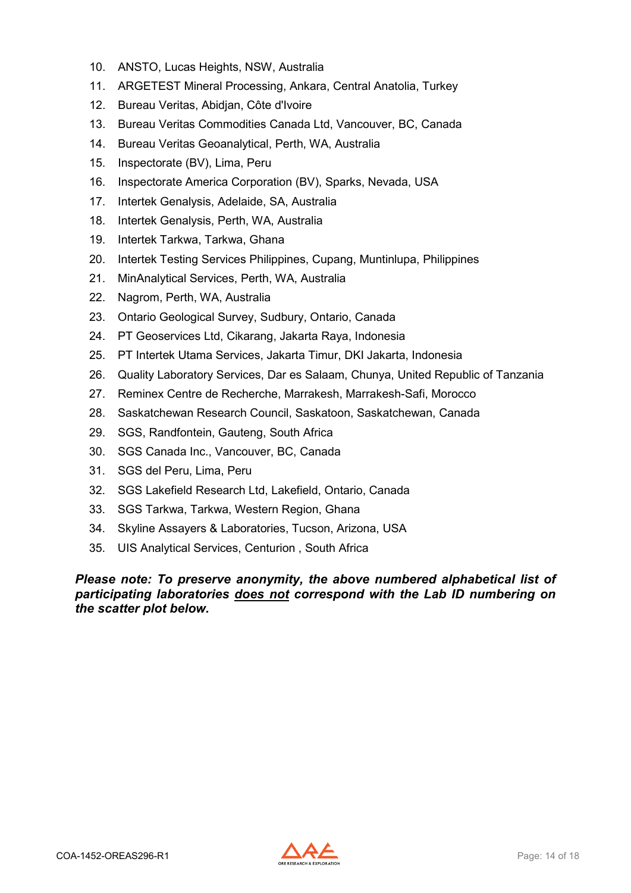- 10. ANSTO, Lucas Heights, NSW, Australia
- 11. ARGETEST Mineral Processing, Ankara, Central Anatolia, Turkey
- 12. Bureau Veritas, Abidjan, Côte d'Ivoire
- 13. Bureau Veritas Commodities Canada Ltd, Vancouver, BC, Canada
- 14. Bureau Veritas Geoanalytical, Perth, WA, Australia
- 15. Inspectorate (BV), Lima, Peru
- 16. Inspectorate America Corporation (BV), Sparks, Nevada, USA
- 17. Intertek Genalysis, Adelaide, SA, Australia
- 18. Intertek Genalysis, Perth, WA, Australia
- 19. Intertek Tarkwa, Tarkwa, Ghana
- 20. Intertek Testing Services Philippines, Cupang, Muntinlupa, Philippines
- 21. MinAnalytical Services, Perth, WA, Australia
- 22. Nagrom, Perth, WA, Australia
- 23. Ontario Geological Survey, Sudbury, Ontario, Canada
- 24. PT Geoservices Ltd, Cikarang, Jakarta Raya, Indonesia
- 25. PT Intertek Utama Services, Jakarta Timur, DKI Jakarta, Indonesia
- 26. Quality Laboratory Services, Dar es Salaam, Chunya, United Republic of Tanzania
- 27. Reminex Centre de Recherche, Marrakesh, Marrakesh-Safi, Morocco
- 28. Saskatchewan Research Council, Saskatoon, Saskatchewan, Canada
- 29. SGS, Randfontein, Gauteng, South Africa
- 30. SGS Canada Inc., Vancouver, BC, Canada
- 31. SGS del Peru, Lima, Peru
- 32. SGS Lakefield Research Ltd, Lakefield, Ontario, Canada
- 33. SGS Tarkwa, Tarkwa, Western Region, Ghana
- 34. Skyline Assayers & Laboratories, Tucson, Arizona, USA
- 35. UIS Analytical Services, Centurion , South Africa

*Please note: To preserve anonymity, the above numbered alphabetical list of participating laboratories does not correspond with the Lab ID numbering on the scatter plot below.*

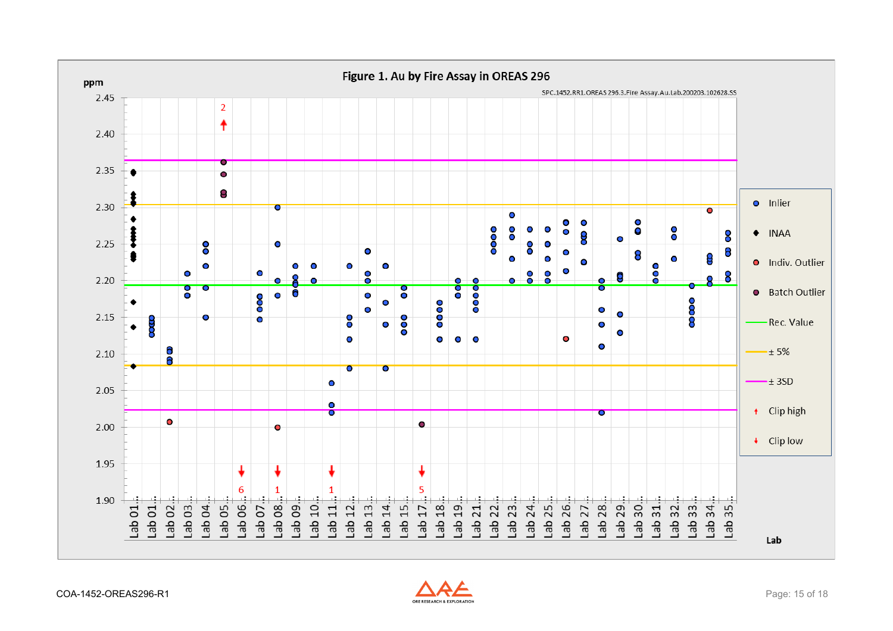<span id="page-14-0"></span>

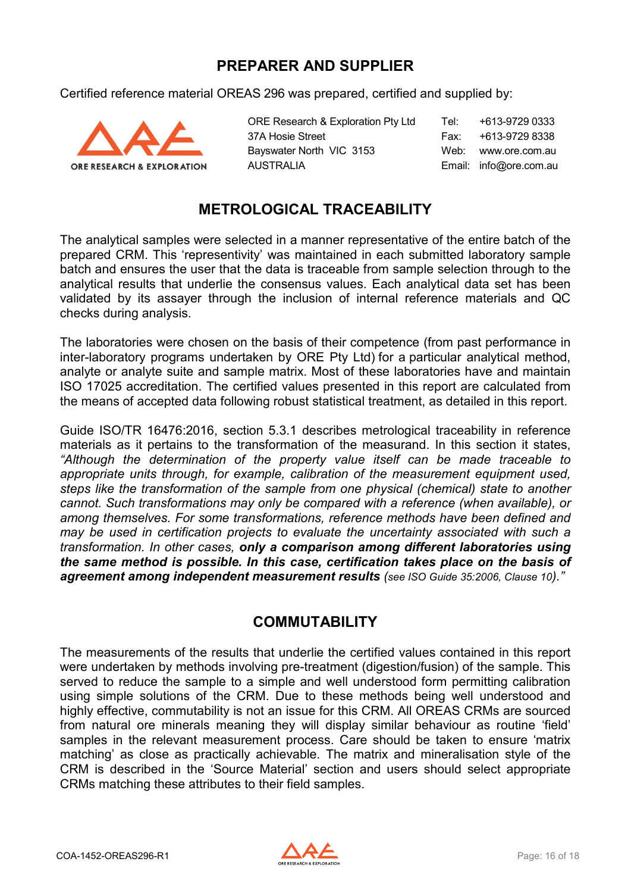### **PREPARER AND SUPPLIER**

<span id="page-15-0"></span>Certified reference material OREAS 296 was prepared, certified and supplied by:



ORE Research & Exploration Pty Ltd Tel: +613-9729 0333 37A Hosie Street Fax: +613-9729 8338 Bayswater North VIC 3153 Web: www.ore.com.au AUSTRALIA Email: info@ore.com.au

## **METROLOGICAL TRACEABILITY**

<span id="page-15-1"></span>The analytical samples were selected in a manner representative of the entire batch of the prepared CRM. This 'representivity' was maintained in each submitted laboratory sample batch and ensures the user that the data is traceable from sample selection through to the analytical results that underlie the consensus values. Each analytical data set has been validated by its assayer through the inclusion of internal reference materials and QC checks during analysis.

The laboratories were chosen on the basis of their competence (from past performance in inter-laboratory programs undertaken by ORE Pty Ltd) for a particular analytical method, analyte or analyte suite and sample matrix. Most of these laboratories have and maintain ISO 17025 accreditation. The certified values presented in this report are calculated from the means of accepted data following robust statistical treatment, as detailed in this report.

Guide ISO/TR 16476:2016, section 5.3.1 describes metrological traceability in reference materials as it pertains to the transformation of the measurand. In this section it states, *"Although the determination of the property value itself can be made traceable to appropriate units through, for example, calibration of the measurement equipment used, steps like the transformation of the sample from one physical (chemical) state to another cannot. Such transformations may only be compared with a reference (when available), or among themselves. For some transformations, reference methods have been defined and may be used in certification projects to evaluate the uncertainty associated with such a transformation. In other cases, only a comparison among different laboratories using the same method is possible. In this case, certification takes place on the basis of agreement among independent measurement results (see ISO Guide 35:2006, Clause 10)."*

### **COMMUTABILITY**

<span id="page-15-2"></span>The measurements of the results that underlie the certified values contained in this report were undertaken by methods involving pre-treatment (digestion/fusion) of the sample. This served to reduce the sample to a simple and well understood form permitting calibration using simple solutions of the CRM. Due to these methods being well understood and highly effective, commutability is not an issue for this CRM. All OREAS CRMs are sourced from natural ore minerals meaning they will display similar behaviour as routine 'field' samples in the relevant measurement process. Care should be taken to ensure 'matrix matching' as close as practically achievable. The matrix and mineralisation style of the CRM is described in the 'Source Material' section and users should select appropriate CRMs matching these attributes to their field samples.

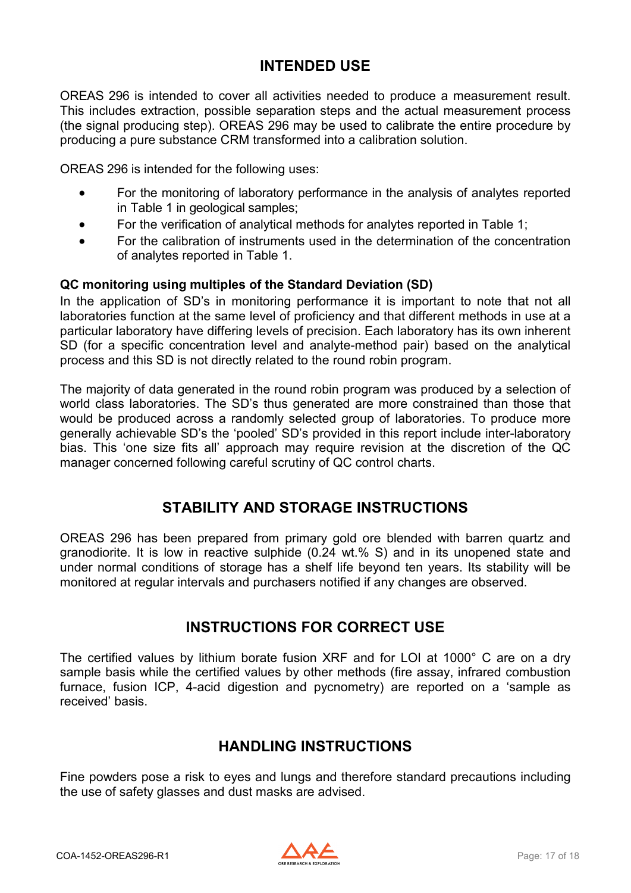### **INTENDED USE**

<span id="page-16-0"></span>OREAS 296 is intended to cover all activities needed to produce a measurement result. This includes extraction, possible separation steps and the actual measurement process (the signal producing step). OREAS 296 may be used to calibrate the entire procedure by producing a pure substance CRM transformed into a calibration solution.

OREAS 296 is intended for the following uses:

- For the monitoring of laboratory performance in the analysis of analytes reported in Table 1 in geological samples;
- For the verification of analytical methods for analytes reported in Table 1;
- For the calibration of instruments used in the determination of the concentration of analytes reported in Table 1.

#### **QC monitoring using multiples of the Standard Deviation (SD)**

In the application of SD's in monitoring performance it is important to note that not all laboratories function at the same level of proficiency and that different methods in use at a particular laboratory have differing levels of precision. Each laboratory has its own inherent SD (for a specific concentration level and analyte-method pair) based on the analytical process and this SD is not directly related to the round robin program.

The majority of data generated in the round robin program was produced by a selection of world class laboratories. The SD's thus generated are more constrained than those that would be produced across a randomly selected group of laboratories. To produce more generally achievable SD's the 'pooled' SD's provided in this report include inter-laboratory bias. This 'one size fits all' approach may require revision at the discretion of the QC manager concerned following careful scrutiny of QC control charts.

### **STABILITY AND STORAGE INSTRUCTIONS**

<span id="page-16-1"></span>OREAS 296 has been prepared from primary gold ore blended with barren quartz and granodiorite. It is low in reactive sulphide (0.24 wt.% S) and in its unopened state and under normal conditions of storage has a shelf life beyond ten years. Its stability will be monitored at regular intervals and purchasers notified if any changes are observed.

### **INSTRUCTIONS FOR CORRECT USE**

<span id="page-16-2"></span>The certified values by lithium borate fusion XRF and for LOI at 1000° C are on a dry sample basis while the certified values by other methods (fire assay, infrared combustion furnace, fusion ICP, 4-acid digestion and pycnometry) are reported on a 'sample as received' basis.

### **HANDLING INSTRUCTIONS**

<span id="page-16-3"></span>Fine powders pose a risk to eyes and lungs and therefore standard precautions including the use of safety glasses and dust masks are advised.